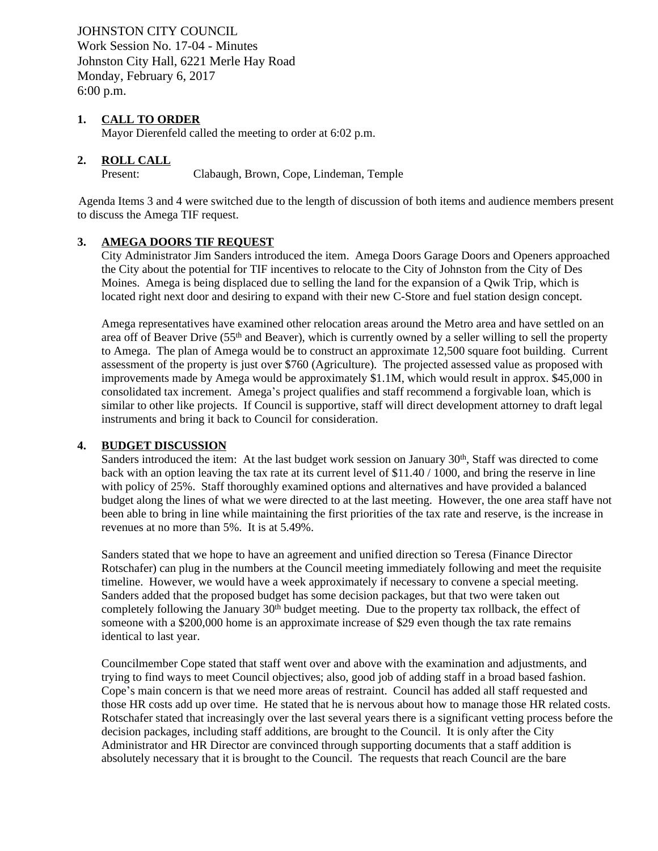JOHNSTON CITY COUNCIL Work Session No. 17-04 - Minutes Johnston City Hall, 6221 Merle Hay Road Monday, February 6, 2017 6:00 p.m.

## **1. CALL TO ORDER**

Mayor Dierenfeld called the meeting to order at 6:02 p.m.

## **2. ROLL CALL**

Present: Clabaugh, Brown, Cope, Lindeman, Temple

 Agenda Items 3 and 4 were switched due to the length of discussion of both items and audience members present to discuss the Amega TIF request.

## **3. AMEGA DOORS TIF REQUEST**

City Administrator Jim Sanders introduced the item. Amega Doors Garage Doors and Openers approached the City about the potential for TIF incentives to relocate to the City of Johnston from the City of Des Moines. Amega is being displaced due to selling the land for the expansion of a Qwik Trip, which is located right next door and desiring to expand with their new C-Store and fuel station design concept.

Amega representatives have examined other relocation areas around the Metro area and have settled on an area off of Beaver Drive (55<sup>th</sup> and Beaver), which is currently owned by a seller willing to sell the property to Amega. The plan of Amega would be to construct an approximate 12,500 square foot building. Current assessment of the property is just over \$760 (Agriculture). The projected assessed value as proposed with improvements made by Amega would be approximately \$1.1M, which would result in approx. \$45,000 in consolidated tax increment. Amega's project qualifies and staff recommend a forgivable loan, which is similar to other like projects. If Council is supportive, staff will direct development attorney to draft legal instruments and bring it back to Council for consideration.

## **4. BUDGET DISCUSSION**

Sanders introduced the item: At the last budget work session on January  $30<sup>th</sup>$ , Staff was directed to come back with an option leaving the tax rate at its current level of \$11.40 / 1000, and bring the reserve in line with policy of 25%. Staff thoroughly examined options and alternatives and have provided a balanced budget along the lines of what we were directed to at the last meeting. However, the one area staff have not been able to bring in line while maintaining the first priorities of the tax rate and reserve, is the increase in revenues at no more than 5%. It is at 5.49%.

Sanders stated that we hope to have an agreement and unified direction so Teresa (Finance Director Rotschafer) can plug in the numbers at the Council meeting immediately following and meet the requisite timeline. However, we would have a week approximately if necessary to convene a special meeting. Sanders added that the proposed budget has some decision packages, but that two were taken out completely following the January 30th budget meeting. Due to the property tax rollback, the effect of someone with a \$200,000 home is an approximate increase of \$29 even though the tax rate remains identical to last year.

Councilmember Cope stated that staff went over and above with the examination and adjustments, and trying to find ways to meet Council objectives; also, good job of adding staff in a broad based fashion. Cope's main concern is that we need more areas of restraint. Council has added all staff requested and those HR costs add up over time. He stated that he is nervous about how to manage those HR related costs. Rotschafer stated that increasingly over the last several years there is a significant vetting process before the decision packages, including staff additions, are brought to the Council. It is only after the City Administrator and HR Director are convinced through supporting documents that a staff addition is absolutely necessary that it is brought to the Council. The requests that reach Council are the bare